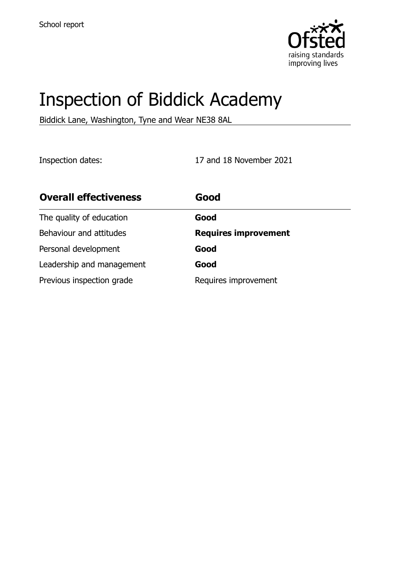

# Inspection of Biddick Academy

Biddick Lane, Washington, Tyne and Wear NE38 8AL

Inspection dates: 17 and 18 November 2021

| <b>Overall effectiveness</b> | Good                        |
|------------------------------|-----------------------------|
| The quality of education     | Good                        |
| Behaviour and attitudes      | <b>Requires improvement</b> |
| Personal development         | Good                        |
| Leadership and management    | Good                        |
| Previous inspection grade    | Requires improvement        |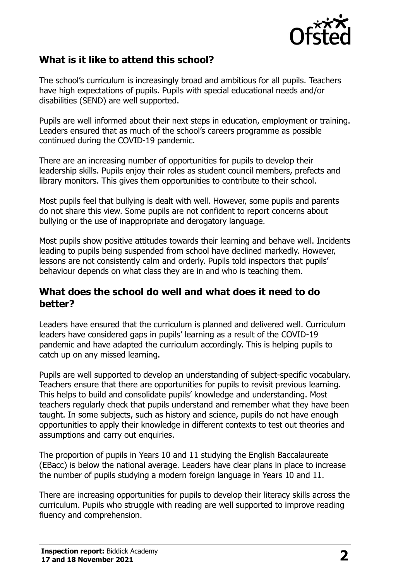

# **What is it like to attend this school?**

The school's curriculum is increasingly broad and ambitious for all pupils. Teachers have high expectations of pupils. Pupils with special educational needs and/or disabilities (SEND) are well supported.

Pupils are well informed about their next steps in education, employment or training. Leaders ensured that as much of the school's careers programme as possible continued during the COVID-19 pandemic.

There are an increasing number of opportunities for pupils to develop their leadership skills. Pupils enjoy their roles as student council members, prefects and library monitors. This gives them opportunities to contribute to their school.

Most pupils feel that bullying is dealt with well. However, some pupils and parents do not share this view. Some pupils are not confident to report concerns about bullying or the use of inappropriate and derogatory language.

Most pupils show positive attitudes towards their learning and behave well. Incidents leading to pupils being suspended from school have declined markedly. However, lessons are not consistently calm and orderly. Pupils told inspectors that pupils' behaviour depends on what class they are in and who is teaching them.

### **What does the school do well and what does it need to do better?**

Leaders have ensured that the curriculum is planned and delivered well. Curriculum leaders have considered gaps in pupils' learning as a result of the COVID-19 pandemic and have adapted the curriculum accordingly. This is helping pupils to catch up on any missed learning.

Pupils are well supported to develop an understanding of subject-specific vocabulary. Teachers ensure that there are opportunities for pupils to revisit previous learning. This helps to build and consolidate pupils' knowledge and understanding. Most teachers regularly check that pupils understand and remember what they have been taught. In some subjects, such as history and science, pupils do not have enough opportunities to apply their knowledge in different contexts to test out theories and assumptions and carry out enquiries.

The proportion of pupils in Years 10 and 11 studying the English Baccalaureate (EBacc) is below the national average. Leaders have clear plans in place to increase the number of pupils studying a modern foreign language in Years 10 and 11.

There are increasing opportunities for pupils to develop their literacy skills across the curriculum. Pupils who struggle with reading are well supported to improve reading fluency and comprehension.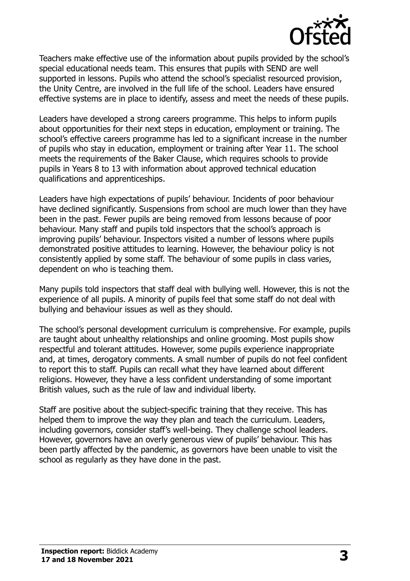

Teachers make effective use of the information about pupils provided by the school's special educational needs team. This ensures that pupils with SEND are well supported in lessons. Pupils who attend the school's specialist resourced provision, the Unity Centre, are involved in the full life of the school. Leaders have ensured effective systems are in place to identify, assess and meet the needs of these pupils.

Leaders have developed a strong careers programme. This helps to inform pupils about opportunities for their next steps in education, employment or training. The school's effective careers programme has led to a significant increase in the number of pupils who stay in education, employment or training after Year 11. The school meets the requirements of the Baker Clause, which requires schools to provide pupils in Years 8 to 13 with information about approved technical education qualifications and apprenticeships.

Leaders have high expectations of pupils' behaviour. Incidents of poor behaviour have declined significantly. Suspensions from school are much lower than they have been in the past. Fewer pupils are being removed from lessons because of poor behaviour. Many staff and pupils told inspectors that the school's approach is improving pupils' behaviour. Inspectors visited a number of lessons where pupils demonstrated positive attitudes to learning. However, the behaviour policy is not consistently applied by some staff. The behaviour of some pupils in class varies, dependent on who is teaching them.

Many pupils told inspectors that staff deal with bullying well. However, this is not the experience of all pupils. A minority of pupils feel that some staff do not deal with bullying and behaviour issues as well as they should.

The school's personal development curriculum is comprehensive. For example, pupils are taught about unhealthy relationships and online grooming. Most pupils show respectful and tolerant attitudes. However, some pupils experience inappropriate and, at times, derogatory comments. A small number of pupils do not feel confident to report this to staff. Pupils can recall what they have learned about different religions. However, they have a less confident understanding of some important British values, such as the rule of law and individual liberty.

Staff are positive about the subject-specific training that they receive. This has helped them to improve the way they plan and teach the curriculum. Leaders, including governors, consider staff's well-being. They challenge school leaders. However, governors have an overly generous view of pupils' behaviour. This has been partly affected by the pandemic, as governors have been unable to visit the school as regularly as they have done in the past.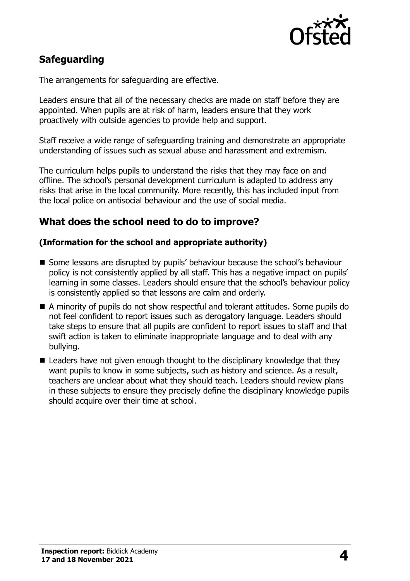

# **Safeguarding**

The arrangements for safeguarding are effective.

Leaders ensure that all of the necessary checks are made on staff before they are appointed. When pupils are at risk of harm, leaders ensure that they work proactively with outside agencies to provide help and support.

Staff receive a wide range of safeguarding training and demonstrate an appropriate understanding of issues such as sexual abuse and harassment and extremism.

The curriculum helps pupils to understand the risks that they may face on and offline. The school's personal development curriculum is adapted to address any risks that arise in the local community. More recently, this has included input from the local police on antisocial behaviour and the use of social media.

# **What does the school need to do to improve?**

#### **(Information for the school and appropriate authority)**

- Some lessons are disrupted by pupils' behaviour because the school's behaviour policy is not consistently applied by all staff. This has a negative impact on pupils' learning in some classes. Leaders should ensure that the school's behaviour policy is consistently applied so that lessons are calm and orderly.
- A minority of pupils do not show respectful and tolerant attitudes. Some pupils do not feel confident to report issues such as derogatory language. Leaders should take steps to ensure that all pupils are confident to report issues to staff and that swift action is taken to eliminate inappropriate language and to deal with any bullying.
- Leaders have not given enough thought to the disciplinary knowledge that they want pupils to know in some subjects, such as history and science. As a result, teachers are unclear about what they should teach. Leaders should review plans in these subjects to ensure they precisely define the disciplinary knowledge pupils should acquire over their time at school.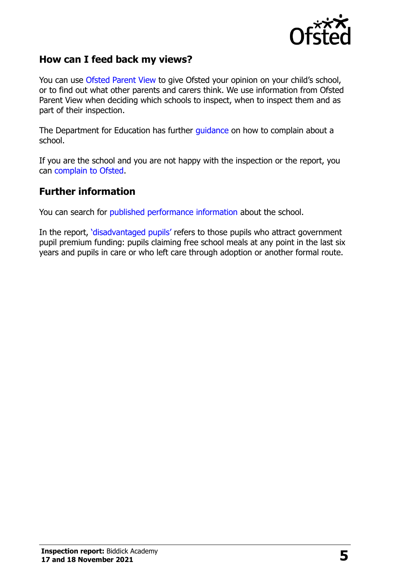

## **How can I feed back my views?**

You can use [Ofsted Parent View](http://parentview.ofsted.gov.uk/) to give Ofsted your opinion on your child's school, or to find out what other parents and carers think. We use information from Ofsted Parent View when deciding which schools to inspect, when to inspect them and as part of their inspection.

The Department for Education has further [guidance](http://www.gov.uk/complain-about-school) on how to complain about a school.

If you are the school and you are not happy with the inspection or the report, you can [complain to Ofsted.](http://www.gov.uk/complain-ofsted-report)

#### **Further information**

You can search for [published performance information](http://www.compare-school-performance.service.gov.uk/) about the school.

In the report, '[disadvantaged pupils](http://www.gov.uk/guidance/pupil-premium-information-for-schools-and-alternative-provision-settings)' refers to those pupils who attract government pupil premium funding: pupils claiming free school meals at any point in the last six years and pupils in care or who left care through adoption or another formal route.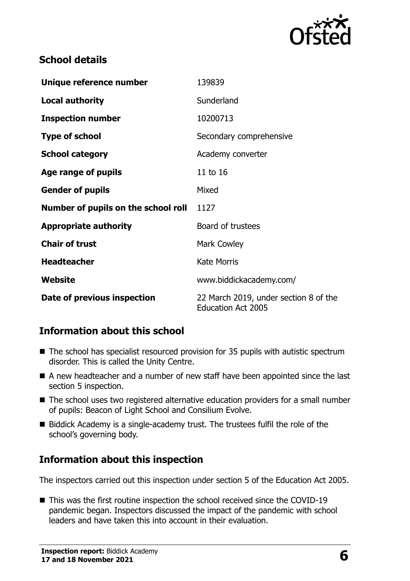

## **School details**

| Unique reference number             | 139839                                                             |  |
|-------------------------------------|--------------------------------------------------------------------|--|
| <b>Local authority</b>              | Sunderland                                                         |  |
| <b>Inspection number</b>            | 10200713                                                           |  |
| <b>Type of school</b>               | Secondary comprehensive                                            |  |
| <b>School category</b>              | Academy converter                                                  |  |
| Age range of pupils                 | 11 to 16                                                           |  |
| <b>Gender of pupils</b>             | Mixed                                                              |  |
| Number of pupils on the school roll | 1127                                                               |  |
| <b>Appropriate authority</b>        | Board of trustees                                                  |  |
| <b>Chair of trust</b>               | <b>Mark Cowley</b>                                                 |  |
| <b>Headteacher</b>                  | <b>Kate Morris</b>                                                 |  |
| Website                             | www.biddickacademy.com/                                            |  |
| Date of previous inspection         | 22 March 2019, under section 8 of the<br><b>Education Act 2005</b> |  |

# **Information about this school**

- The school has specialist resourced provision for 35 pupils with autistic spectrum disorder. This is called the Unity Centre.
- A new headteacher and a number of new staff have been appointed since the last section 5 inspection.
- The school uses two registered alternative education providers for a small number of pupils: Beacon of Light School and Consilium Evolve.
- Biddick Academy is a single-academy trust. The trustees fulfil the role of the school's governing body.

# **Information about this inspection**

The inspectors carried out this inspection under section 5 of the Education Act 2005.

■ This was the first routine inspection the school received since the COVID-19 pandemic began. Inspectors discussed the impact of the pandemic with school leaders and have taken this into account in their evaluation.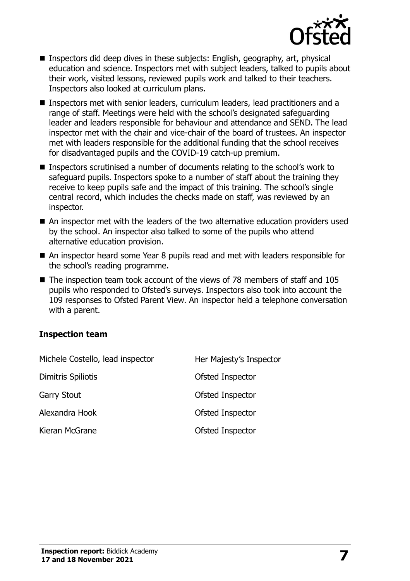

- Inspectors did deep dives in these subjects: English, geography, art, physical education and science. Inspectors met with subject leaders, talked to pupils about their work, visited lessons, reviewed pupils work and talked to their teachers. Inspectors also looked at curriculum plans.
- Inspectors met with senior leaders, curriculum leaders, lead practitioners and a range of staff. Meetings were held with the school's designated safeguarding leader and leaders responsible for behaviour and attendance and SEND. The lead inspector met with the chair and vice-chair of the board of trustees. An inspector met with leaders responsible for the additional funding that the school receives for disadvantaged pupils and the COVID-19 catch-up premium.
- Inspectors scrutinised a number of documents relating to the school's work to safeguard pupils. Inspectors spoke to a number of staff about the training they receive to keep pupils safe and the impact of this training. The school's single central record, which includes the checks made on staff, was reviewed by an inspector.
- An inspector met with the leaders of the two alternative education providers used by the school. An inspector also talked to some of the pupils who attend alternative education provision.
- An inspector heard some Year 8 pupils read and met with leaders responsible for the school's reading programme.
- The inspection team took account of the views of 78 members of staff and 105 pupils who responded to Ofsted's surveys. Inspectors also took into account the 109 responses to Ofsted Parent View. An inspector held a telephone conversation with a parent.

#### **Inspection team**

| Michele Costello, lead inspector | Her Majesty's Inspector |
|----------------------------------|-------------------------|
| Dimitris Spiliotis               | Ofsted Inspector        |
| <b>Garry Stout</b>               | Ofsted Inspector        |
| Alexandra Hook                   | Ofsted Inspector        |
| Kieran McGrane                   | Ofsted Inspector        |